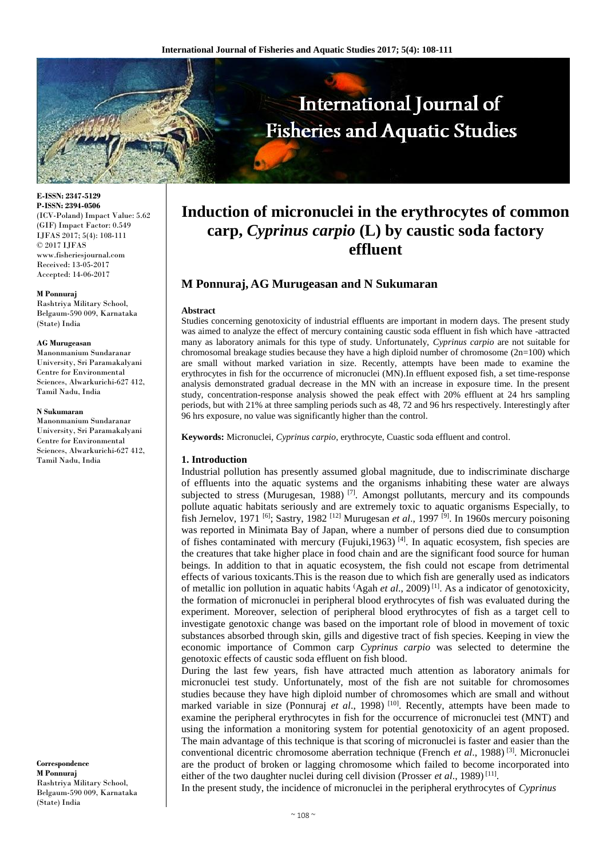

**E-ISSN: 2347-5129 P-ISSN: 2394-0506** (ICV-Poland) Impact Value: 5.62 (GIF) Impact Factor: 0.549 IJFAS 2017; 5(4): 108-111 © 2017 IJFAS www.fisheriesjournal.com Received: 13-05-2017 Accepted: 14-06-2017

#### **M Ponnuraj**

Rashtriya Military School, Belgaum-590 009, Karnataka (State) India

#### **AG Murugeasan**

Manonmanium Sundaranar University, Sri Paramakalyani Centre for Environmental Sciences, Alwarkurichi-627 412, Tamil Nadu, India

#### **N Sukumaran**

Manonmanium Sundaranar University, Sri Paramakalyani Centre for Environmental Sciences, Alwarkurichi-627 412, Tamil Nadu, India

**Correspondence M Ponnuraj** Rashtriya Military School, Belgaum-590 009, Karnataka (State) India

# **Induction of micronuclei in the erythrocytes of common carp,** *Cyprinus carpio* **(L) by caustic soda factory effluent**

## **M Ponnuraj, AG Murugeasan and N Sukumaran**

#### **Abstract**

Studies concerning genotoxicity of industrial effluents are important in modern days. The present study was aimed to analyze the effect of mercury containing caustic soda effluent in fish which have -attracted many as laboratory animals for this type of study. Unfortunately, *Cyprinus carpio* are not suitable for chromosomal breakage studies because they have a high diploid number of chromosome  $(2n=100)$  which are small without marked variation in size. Recently, attempts have been made to examine the erythrocytes in fish for the occurrence of micronuclei (MN).In effluent exposed fish, a set time-response analysis demonstrated gradual decrease in the MN with an increase in exposure time. In the present study, concentration-response analysis showed the peak effect with 20% effluent at 24 hrs sampling periods, but with 21% at three sampling periods such as 48, 72 and 96 hrs respectively. Interestingly after 96 hrs exposure, no value was significantly higher than the control.

**Keywords:** Micronuclei, *Cyprinus carpio*, erythrocyte, Cuastic soda effluent and control.

#### **1. Introduction**

Industrial pollution has presently assumed global magnitude, due to indiscriminate discharge of effluents into the aquatic systems and the organisms inhabiting these water are always subjected to stress (Murugesan, 1988)<sup>[7]</sup>. Amongst pollutants, mercury and its compounds pollute aquatic habitats seriously and are extremely toxic to aquatic organisms Especially, to fish Jernelov, 1971 [6]; Sastry, 1982 [12] Murugesan *et al*., 1997 [9] . In 1960s mercury poisoning was reported in Minimata Bay of Japan, where a number of persons died due to consumption of fishes contaminated with mercury (Fujuki, 1963)<sup>[4]</sup>. In aquatic ecosystem, fish species are the creatures that take higher place in food chain and are the significant food source for human beings. In addition to that in aquatic ecosystem, the fish could not escape from detrimental effects of various toxicants.This is the reason due to which fish are generally used as indicators of metallic ion pollution in aquatic habits (Agah *et al*., 2009) [1] . As a indicator of genotoxicity, the formation of micronuclei in peripheral blood erythrocytes of fish was evaluated during the experiment. Moreover, selection of peripheral blood erythrocytes of fish as a target cell to investigate genotoxic change was based on the important role of blood in movement of toxic substances absorbed through skin, gills and digestive tract of fish species. Keeping in view the economic importance of Common carp *Cyprinus carpio* was selected to determine the genotoxic effects of caustic soda effluent on fish blood.

During the last few years, fish have attracted much attention as laboratory animals for micronuclei test study. Unfortunately, most of the fish are not suitable for chromosomes studies because they have high diploid number of chromosomes which are small and without marked variable in size (Ponnuraj *et al.*, 1998)<sup>[10]</sup>. Recently, attempts have been made to examine the peripheral erythrocytes in fish for the occurrence of micronuclei test (MNT) and using the information a monitoring system for potential genotoxicity of an agent proposed. The main advantage of this technique is that scoring of micronuclei is faster and easier than the conventional dicentric chromosome aberration technique (French *et al*., 1988) [3] . Micronuclei are the product of broken or lagging chromosome which failed to become incorporated into either of the two daughter nuclei during cell division (Prosser *et al.*, 1989)<sup>[11]</sup>.

In the present study, the incidence of micronuclei in the peripheral erythrocytes of *Cyprinus*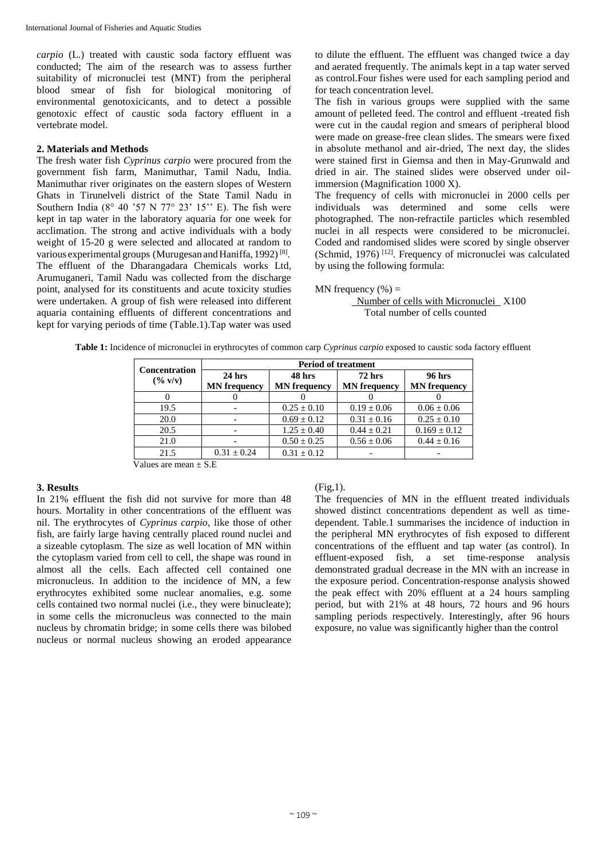*carpio* (L.) treated with caustic soda factory effluent was conducted; The aim of the research was to assess further suitability of micronuclei test (MNT) from the peripheral blood smear of fish for biological monitoring of environmental genotoxicicants, and to detect a possible genotoxic effect of caustic soda factory effluent in a vertebrate model.

### **2. Materials and Methods**

The fresh water fish *Cyprinus carpio* were procured from the government fish farm, Manimuthar, Tamil Nadu, India. Manimuthar river originates on the eastern slopes of Western Ghats in Tirunelveli district of the State Tamil Nadu in Southern India ( $8^{\circ}$  40 '57 N 77 $^{\circ}$  23' 15" E). The fish were kept in tap water in the laboratory aquaria for one week for acclimation. The strong and active individuals with a body weight of 15-20 g were selected and allocated at random to various experimental groups (Murugesan and Haniffa, 1992)<sup>[8]</sup>. The effluent of the Dharangadara Chemicals works Ltd, Arumuganeri, Tamil Nadu was collected from the discharge point, analysed for its constituents and acute toxicity studies were undertaken. A group of fish were released into different aquaria containing effluents of different concentrations and kept for varying periods of time (Table.1).Tap water was used

to dilute the effluent. The effluent was changed twice a day and aerated frequently. The animals kept in a tap water served as control.Four fishes were used for each sampling period and for teach concentration level.

The fish in various groups were supplied with the same amount of pelleted feed. The control and effluent -treated fish were cut in the caudal region and smears of peripheral blood were made on grease-free clean slides. The smears were fixed in absolute methanol and air-dried, The next day, the slides were stained first in Giemsa and then in May-Grunwald and dried in air. The stained slides were observed under oilimmersion (Magnification 1000 X).

The frequency of cells with micronuclei in 2000 cells per individuals was determined and some cells were photographed. The non-refractile particles which resembled nuclei in all respects were considered to be micronuclei. Coded and randomised slides were scored by single observer (Schmid, 1976)<sup>[12]</sup>. Frequency of micronuclei was calculated by using the following formula:

MN frequency  $(\% )$  =

 Number of cells with Micronuclei X100 Total number of cells counted

| <b>Concentration</b><br>$($ % v/v) | <b>Period of treatment</b> |                     |                     |                     |
|------------------------------------|----------------------------|---------------------|---------------------|---------------------|
|                                    | $24$ hrs                   | 48 hrs              | $72$ hrs            | 96 hrs              |
|                                    | <b>MN</b> frequency        | <b>MN</b> frequency | <b>MN</b> frequency | <b>MN</b> frequency |
|                                    |                            |                     |                     |                     |
| 19.5                               |                            | $0.25 \pm 0.10$     | $0.19 \pm 0.06$     | $0.06 \pm 0.06$     |
| 20.0                               |                            | $0.69 \pm 0.12$     | $0.31 \pm 0.16$     | $0.25 \pm 0.10$     |
| 20.5                               |                            | $1.25 \pm 0.40$     | $0.44 + 0.21$       | $0.169 \pm 0.12$    |
| 21.0                               |                            | $0.50 \pm 0.25$     | $0.56 \pm 0.06$     | $0.44 \pm 0.16$     |
| 21.5                               | $0.31 \pm 0.24$            | $0.31 \pm 0.12$     |                     |                     |

**Table 1:** Incidence of micronuclei in erythrocytes of common carp *Cyprinus carpio* exposed to caustic soda factory effluent

Values are mean  $+ S.E$ 

## **3. Results**

In 21% effluent the fish did not survive for more than 48 hours. Mortality in other concentrations of the effluent was nil. The erythrocytes of *Cyprinus carpio*, like those of other fish, are fairly large having centrally placed round nuclei and a sizeable cytoplasm. The size as well location of MN within the cytoplasm varied from cell to cell, the shape was round in almost all the cells. Each affected cell contained one micronucleus. In addition to the incidence of MN, a few erythrocytes exhibited some nuclear anomalies, e.g. some cells contained two normal nuclei (i.e., they were binucleate); in some cells the micronucleus was connected to the main nucleus by chromatin bridge; in some cells there was bilobed nucleus or normal nucleus showing an eroded appearance

 $(Fig,1)$ .

The frequencies of MN in the effluent treated individuals showed distinct concentrations dependent as well as timedependent. Table.1 summarises the incidence of induction in the peripheral MN erythrocytes of fish exposed to different concentrations of the effluent and tap water (as control). In effluent-exposed fish, a set time-response analysis demonstrated gradual decrease in the MN with an increase in the exposure period. Concentration-response analysis showed the peak effect with 20% effluent at a 24 hours sampling period, but with 21% at 48 hours, 72 hours and 96 hours sampling periods respectively. Interestingly, after 96 hours exposure, no value was significantly higher than the control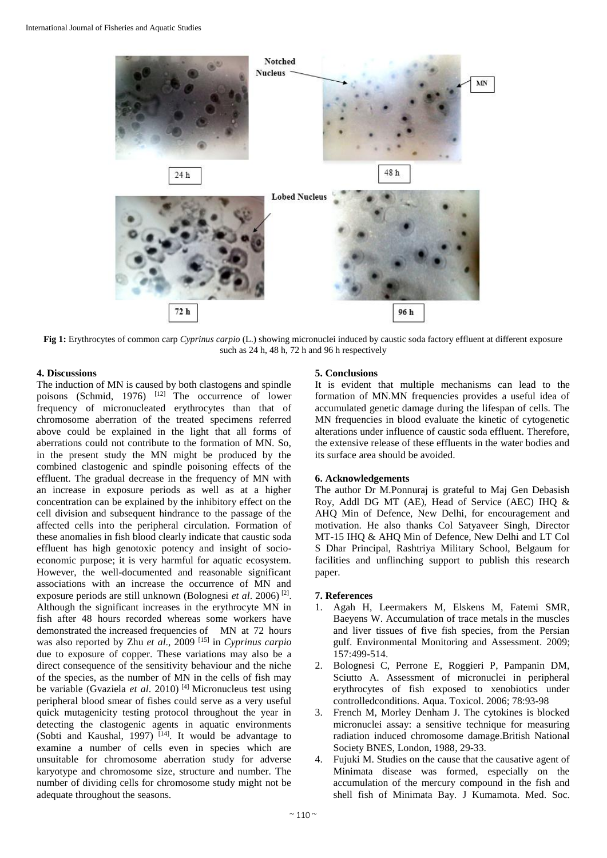

**Fig 1:** Erythrocytes of common carp *Cyprinus carpio* (L.) showing micronuclei induced by caustic soda factory effluent at different exposure such as 24 h, 48 h, 72 h and 96 h respectively

### **4. Discussions**

The induction of MN is caused by both clastogens and spindle poisons (Schmid, 1976)  $[12]$  The occurrence of lower frequency of micronucleated erythrocytes than that of chromosome aberration of the treated specimens referred above could be explained in the light that all forms of aberrations could not contribute to the formation of MN. So, in the present study the MN might be produced by the combined clastogenic and spindle poisoning effects of the effluent. The gradual decrease in the frequency of MN with an increase in exposure periods as well as at a higher concentration can be explained by the inhibitory effect on the cell division and subsequent hindrance to the passage of the affected cells into the peripheral circulation. Formation of these anomalies in fish blood clearly indicate that caustic soda effluent has high genotoxic potency and insight of socioeconomic purpose; it is very harmful for aquatic ecosystem. However, the well-documented and reasonable significant associations with an increase the occurrence of MN and exposure periods are still unknown (Bolognesi *et al*. 2006) [2] . Although the significant increases in the erythrocyte MN in fish after 48 hours recorded whereas some workers have demonstrated the increased frequencies of MN at 72 hours was also reported by Zhu *et al*., 2009 [15] in *Cyprinus carpio* due to exposure of copper. These variations may also be a direct consequence of the sensitivity behaviour and the niche of the species, as the number of MN in the cells of fish may be variable (Gvaziela *et al*. 2010) [4] Micronucleus test using peripheral blood smear of fishes could serve as a very useful quick mutagenicity testing protocol throughout the year in detecting the clastogenic agents in aquatic environments (Sobti and Kaushal, 1997)<sup>[14]</sup>. It would be advantage to examine a number of cells even in species which are unsuitable for chromosome aberration study for adverse karyotype and chromosome size, structure and number. The number of dividing cells for chromosome study might not be adequate throughout the seasons.

## **5. Conclusions**

It is evident that multiple mechanisms can lead to the formation of MN.MN frequencies provides a useful idea of accumulated genetic damage during the lifespan of cells. The MN frequencies in blood evaluate the kinetic of cytogenetic alterations under influence of caustic soda effluent. Therefore, the extensive release of these effluents in the water bodies and its surface area should be avoided.

### **6. Acknowledgements**

The author Dr M.Ponnuraj is grateful to Maj Gen Debasish Roy, Addl DG MT (AE), Head of Service (AEC) IHQ & AHQ Min of Defence, New Delhi, for encouragement and motivation. He also thanks Col Satyaveer Singh, Director MT-15 IHQ & AHQ Min of Defence, New Delhi and LT Col S Dhar Principal, Rashtriya Military School, Belgaum for facilities and unflinching support to publish this research paper.

## **7. References**

- 1. Agah H, Leermakers M, Elskens M, Fatemi SMR, Baeyens W. Accumulation of trace metals in the muscles and liver tissues of five fish species, from the Persian gulf. Environmental Monitoring and Assessment. 2009; 157:499-514.
- 2. Bolognesi C, Perrone E, Roggieri P, Pampanin DM, Sciutto A. Assessment of micronuclei in peripheral erythrocytes of fish exposed to xenobiotics under controlledconditions. Aqua. Toxicol. 2006; 78:93-98
- 3. French M, Morley Denham J. The cytokines is blocked micronuclei assay: a sensitive technique for measuring radiation induced chromosome damage.British National Society BNES, London, 1988, 29-33.
- 4. Fujuki M. Studies on the cause that the causative agent of Minimata disease was formed, especially on the accumulation of the mercury compound in the fish and shell fish of Minimata Bay. J Kumamota. Med. Soc.